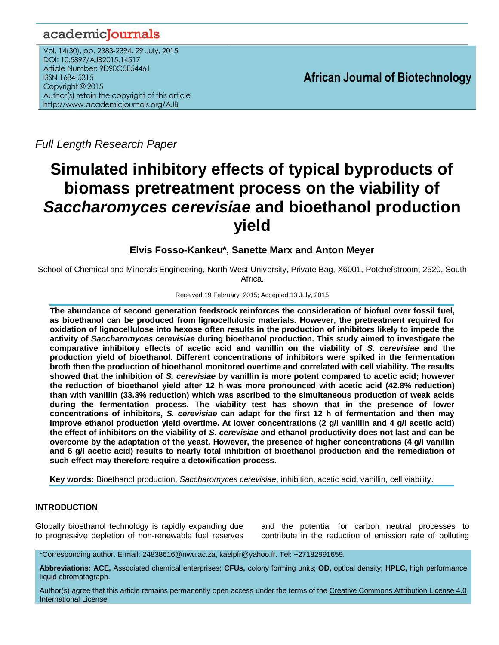## academicJournals

Vol. 14(30), pp. 2383-2394, 29 July, 2015 DOI: 10.5897/AJB2015.14517 Article Number: 9D90C5E54461 ISSN 1684-5315 Copyright © 2015 Author(s) retain the copyright of this article http://www.academicjournals.org/AJB

**African Journal of Biotechnology**

*Full Length Research Paper*

# **Simulated inhibitory effects of typical byproducts of biomass pretreatment process on the viability of**  *Saccharomyces cerevisiae* **and bioethanol production yield**

## **Elvis Fosso-Kankeu\*, Sanette Marx and Anton Meyer**

School of Chemical and Minerals Engineering, North-West University, Private Bag, X6001, Potchefstroom, 2520, South Africa.

Received 19 February, 2015; Accepted 13 July, 2015

**The abundance of second generation feedstock reinforces the consideration of biofuel over fossil fuel, as bioethanol can be produced from lignocellulosic materials. However, the pretreatment required for oxidation of lignocellulose into hexose often results in the production of inhibitors likely to impede the activity of** *Saccharomyces cerevisiae* **during bioethanol production. This study aimed to investigate the comparative inhibitory effects of acetic acid and vanillin on the viability of** *S. cerevisiae* **and the production yield of bioethanol. Different concentrations of inhibitors were spiked in the fermentation broth then the production of bioethanol monitored overtime and correlated with cell viability. The results showed that the inhibition of** *S. cerevisiae* **by vanillin is more potent compared to acetic acid; however the reduction of bioethanol yield after 12 h was more pronounced with acetic acid (42.8% reduction) than with vanillin (33.3% reduction) which was ascribed to the simultaneous production of weak acids during the fermentation process. The viability test has shown that in the presence of lower concentrations of inhibitors,** *S. cerevisiae* **can adapt for the first 12 h of fermentation and then may improve ethanol production yield overtime. At lower concentrations (2 g/l vanillin and 4 g/l acetic acid) the effect of inhibitors on the viability of** *S. cerevisiae* **and ethanol productivity does not last and can be overcome by the adaptation of the yeast. However, the presence of higher concentrations (4 g/l vanillin and 6 g/l acetic acid) results to nearly total inhibition of bioethanol production and the remediation of such effect may therefore require a detoxification process.**

**Key words:** Bioethanol production, *Saccharomyces cerevisiae*, inhibition, acetic acid, vanillin, cell viability.

## **INTRODUCTION**

Globally bioethanol technology is rapidly expanding due to progressive depletion of non-renewable fuel reserves and the potential for carbon neutral processes to contribute in the reduction of emission rate of polluting

\*Corresponding author. E-mail: 24838616@nwu.ac.za, kaelpfr@yahoo.fr. Tel: +27182991659.

**Abbreviations: ACE,** Associated chemical enterprises; **CFUs,** colony forming units; **OD,** optical density; **HPLC,** high performance liquid chromatograph.

Author(s) agree that this article remains permanently open access under the terms of the Creative Commons Attribution License 4.0 [International License](http://creativecommons.org/licenses/by/4.0/deed.en_US)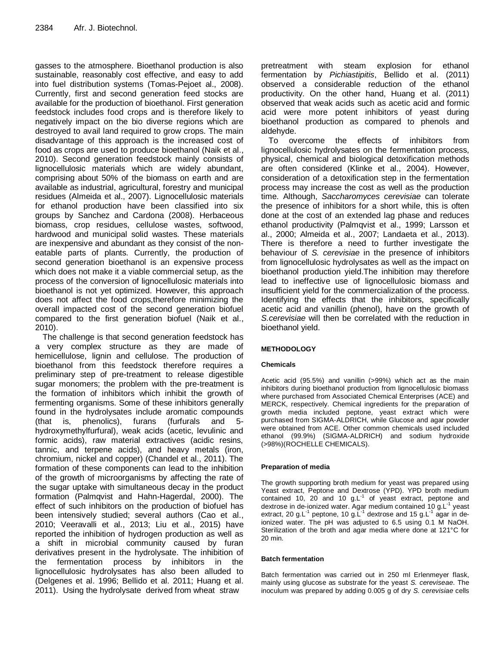gasses to the atmosphere. Bioethanol production is also sustainable, reasonably cost effective, and easy to add into fuel distribution systems (Tomas-Pejoet al., 2008). Currently, first and second generation feed stocks are available for the production of bioethanol. First generation feedstock includes food crops and is therefore likely to negatively impact on the bio diverse regions which are destroyed to avail land required to grow crops. The main disadvantage of this approach is the increased cost of food as crops are used to produce bioethanol (Naik et al., 2010). Second generation feedstock mainly consists of lignocellulosic materials which are widely abundant, comprising about 50% of the biomass on earth and are available as industrial, agricultural, forestry and municipal residues (Almeida et al., 2007). Lignocellulosic materials for ethanol production have been classified into six groups by Sanchez and Cardona (2008). Herbaceous biomass, crop residues, cellulose wastes, softwood, hardwood and municipal solid wastes. These materials are inexpensive and abundant as they consist of the noneatable parts of plants. Currently, the production of second generation bioethanol is an expensive process which does not make it a viable commercial setup, as the process of the conversion of lignocellulosic materials into bioethanol is not yet optimized. However, this approach does not affect the food crops,therefore minimizing the overall impacted cost of the second generation biofuel compared to the first generation biofuel (Naik et al., 2010).

The challenge is that second generation feedstock has a very complex structure as they are made of hemicellulose, lignin and cellulose. The production of bioethanol from this feedstock therefore requires a preliminary step of pre-treatment to release digestible sugar monomers; the problem with the pre-treatment is the formation of inhibitors which inhibit the growth of fermenting organisms. Some of these inhibitors generally found in the hydrolysates include aromatic compounds (that is, phenolics), furans (furfurals and 5 hydroxymethylfurfural), weak acids (acetic, levulinic and formic acids), raw material extractives (acidic resins, tannic, and terpene acids), and heavy metals (iron, chromium, nickel and copper) (Chandel et al., 2011). The formation of these components can lead to the inhibition of the growth of microorganisms by affecting the rate of the sugar uptake with simultaneous decay in the product formation (Palmqvist and Hahn-Hagerdal, 2000). The effect of such inhibitors on the production of biofuel has been intensively studied; several authors (Cao et al., 2010; Veeravalli et al., 2013; Liu et al., 2015) have reported the inhibition of hydrogen production as well as a shift in microbial community caused by furan derivatives present in the hydrolysate. The inhibition of the fermentation process by inhibitors in the lignocellulosic hydrolysates has also been alluded to (Delgenes et al. 1996; Bellido et al. 2011; Huang et al. 2011). Using the hydrolysate derived from wheat straw

pretreatment with steam explosion for ethanol fermentation by *Pichiastipitis*, Bellido et al. (2011) observed a considerable reduction of the ethanol productivity. On the other hand, Huang et al. (2011) observed that weak acids such as acetic acid and formic acid were more potent inhibitors of yeast during bioethanol production as compared to phenols and aldehyde.

To overcome the effects of inhibitors from lignocellulosic hydrolysates on the fermentation process, physical, chemical and biological detoxification methods are often considered (Klinke et al., 2004). However, consideration of a detoxification step in the fermentation process may increase the cost as well as the production time. Although, *Saccharomyces cerevisiae* can tolerate the presence of inhibitors for a short while, this is often done at the cost of an extended lag phase and reduces ethanol productivity (Palmqvist et al., 1999; Larsson et al., 2000; Almeida et al., 2007; Landaeta et al., 2013). There is therefore a need to further investigate the behaviour of *S. cerevisiae* in the presence of inhibitors from lignocellulosic hydrolysates as well as the impact on bioethanol production yield.The inhibition may therefore lead to ineffective use of lignocellulosic biomass and insufficient yield for the commercialization of the process. Identifying the effects that the inhibitors, specifically acetic acid and vanillin (phenol), have on the growth of *S.cerevisiae* will then be correlated with the reduction in bioethanol yield.

#### **METHODOLOGY**

#### **Chemicals**

Acetic acid (95.5%) and vanillin (>99%) which act as the main inhibitors during bioethanol production from lignocellulosic biomass where purchased from Associated Chemical Enterprises (ACE) and MERCK, respectively. Chemical ingredients for the preparation of growth media included peptone, yeast extract which were purchased from SIGMA-ALDRICH, while Glucose and agar powder were obtained from ACE. Other common chemicals used included ethanol (99.9%) (SIGMA-ALDRICH) and sodium hydroxide (>98%)(ROCHELLE CHEMICALS).

#### **Preparation of media**

The growth supporting broth medium for yeast was prepared using Yeast extract, Peptone and Dextrose (YPD). YPD broth medium contained 10, 20 and 10  $g.L^{-1}$  of yeast extract, peptone and dextrose in de-ionized water. Agar medium contained 10 g.L<sup>-1</sup> yeast extract, 20 g.L<sup>-1</sup> peptone, 10 g.L<sup>-1</sup> dextrose and 15 g.L<sup>-1</sup> agar in deionized water. The pH was adjusted to 6.5 using 0.1 M NaOH. Sterilization of the broth and agar media where done at 121°C for 20 min.

#### **Batch fermentation**

Batch fermentation was carried out in 250 ml Erlenmeyer flask, mainly using glucose as substrate for the yeast *S. cereviseae*. The inoculum was prepared by adding 0.005 g of dry *S. cerevisiae* cells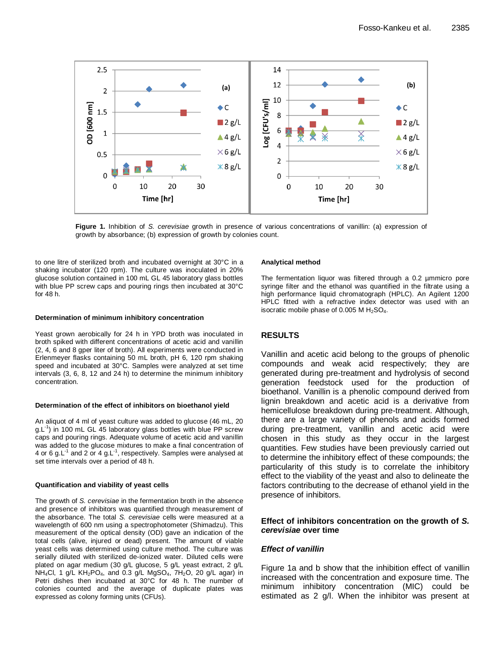

**Figure 1.** Inhibition of *S. cerevisiae* growth in presence of various concentrations of vanillin: (a) expression of growth by absorbance; (b) expression of growth by colonies count.

to one litre of sterilized broth and incubated overnight at 30°C in a shaking incubator (120 rpm). The culture was inoculated in 20% glucose solution contained in 100 mL GL 45 laboratory glass bottles with blue PP screw caps and pouring rings then incubated at 30°C for 48 h.

#### **Determination of minimum inhibitory concentration**

Yeast grown aerobically for 24 h in YPD broth was inoculated in broth spiked with different concentrations of acetic acid and vanillin (2, 4, 6 and 8 gper liter of broth). All experiments were conducted in Erlenmeyer flasks containing 50 mL broth, pH 6, 120 rpm shaking speed and incubated at 30°C. Samples were analyzed at set time intervals (3, 6, 8, 12 and 24 h) to determine the minimum inhibitory concentration.

#### **Determination of the effect of inhibitors on bioethanol yield**

An aliquot of 4 ml of yeast culture was added to glucose (46 mL, 20 g.L<sup>-1</sup>) in 100 mL GL 45 laboratory glass bottles with blue PP screw caps and pouring rings. Adequate volume of acetic acid and vanillin was added to the glucose mixtures to make a final concentration of 4 or 6 g.L<sup>-1</sup> and 2 or 4 g.L<sup>-1</sup>, respectively. Samples were analysed at set time intervals over a period of 48 h.

#### **Quantification and viability of yeast cells**

The growth of *S. cerevisiae* in the fermentation broth in the absence and presence of inhibitors was quantified through measurement of the absorbance. The total *S. cerevisiae* cells were measured at a wavelength of 600 nm using a spectrophotometer (Shimadzu). This measurement of the optical density (OD) gave an indication of the total cells (alive, injured or dead) present. The amount of viable yeast cells was determined using culture method. The culture was serially diluted with sterilized de-ionized water. Diluted cells were plated on agar medium (30 g/L glucose, 5 g/L yeast extract, 2 g/L NH<sub>4</sub>Cl, 1 g/L KH<sub>2</sub>PO<sub>4</sub>, and 0.3 g/L MgSO<sub>4</sub>, 7H<sub>2</sub>O, 20 g/L agar) in Petri dishes then incubated at 30°C for 48 h. The number of colonies counted and the average of duplicate plates was expressed as colony forming units (CFUs).

#### **Analytical method**

The fermentation liquor was filtered through a 0.2 µmmicro pore syringe filter and the ethanol was quantified in the filtrate using a high performance liquid chromatograph (HPLC). An Agilent 1200 HPLC fitted with a refractive index detector was used with an isocratic mobile phase of  $0.005$  M H<sub>2</sub>SO<sub>4</sub>.

#### **RESULTS**

Vanillin and acetic acid belong to the groups of phenolic compounds and weak acid respectively; they are generated during pre-treatment and hydrolysis of second generation feedstock used for the production of bioethanol. Vanillin is a phenolic compound derived from lignin breakdown and acetic acid is a derivative from hemicellulose breakdown during pre-treatment. Although, there are a large variety of phenols and acids formed during pre-treatment, vanillin and acetic acid were chosen in this study as they occur in the largest quantities. Few studies have been previously carried out to determine the inhibitory effect of these compounds; the particularity of this study is to correlate the inhibitory effect to the viability of the yeast and also to delineate the factors contributing to the decrease of ethanol yield in the presence of inhibitors. (a)<br>  $\frac{12}{5}$ <br>  $\frac{12}{5}$ <br>  $\frac{12}{5}$ <br>  $\frac{12}{5}$ <br>  $\frac{12}{5}$ <br>  $\frac{12}{5}$ <br>  $\frac{12}{5}$ <br>  $\frac{12}{5}$ <br>  $\frac{12}{5}$ <br>  $\frac{12}{5}$ <br>  $\frac{12}{5}$ <br>  $\frac{12}{5}$ <br>  $\frac{12}{5}$ <br>  $\frac{12}{5}$ <br>  $\frac{12}{5}$ <br>  $\frac{12}{5}$ <br>  $\frac{12}{5}$ <br>  $\frac{12}{5}$ <br>

#### **Effect of inhibitors concentration on the growth of** *S. cerevisiae* **over time**

#### *Effect of vanillin*

Figure 1a and b show that the inhibition effect of vanillin increased with the concentration and exposure time. The minimum inhibitory concentration (MIC) could be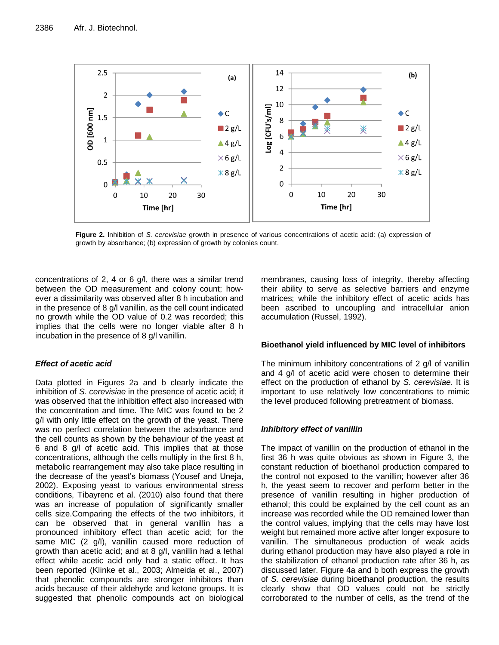

**Figure 2.** Inhibition of *S. cerevisiae* growth in presence of various concentrations of acetic acid: (a) expression of growth by absorbance; (b) expression of growth by colonies count.

concentrations of 2, 4 or 6 g/l, there was a similar trend between the OD measurement and colony count; however a dissimilarity was observed after 8 h incubation and in the presence of 8 g/l vanillin, as the cell count indicated no growth while the OD value of 0.2 was recorded; this implies that the cells were no longer viable after 8 h incubation in the presence of 8 g/l vanillin.

## *Effect of acetic acid*

Data plotted in Figures 2a and b clearly indicate the inhibition of *S. cerevisiae* in the presence of acetic acid; it was observed that the inhibition effect also increased with the concentration and time. The MIC was found to be 2 g/l with only little effect on the growth of the yeast. There was no perfect correlation between the adsorbance and the cell counts as shown by the behaviour of the yeast at 6 and 8 g/l of acetic acid. This implies that at those concentrations, although the cells multiply in the first 8 h, metabolic rearrangement may also take place resulting in the decrease of the yeast's biomass (Yousef and Uneja, 2002). Exposing yeast to various environmental stress conditions, Tibayrenc et al. (2010) also found that there was an increase of population of significantly smaller cells size.Comparing the effects of the two inhibitors, it can be observed that in general vanillin has a pronounced inhibitory effect than acetic acid; for the same MIC (2 g/l), vanillin caused more reduction of growth than acetic acid; and at 8 g/l, vanillin had a lethal effect while acetic acid only had a static effect. It has been reported (Klinke et al., 2003; Almeida et al., 2007) that phenolic compounds are stronger inhibitors than acids because of their aldehyde and ketone groups. It is suggested that phenolic compounds act on biological membranes, causing loss of integrity, thereby affecting their ability to serve as selective barriers and enzyme matrices; while the inhibitory effect of acetic acids has been ascribed to uncoupling and intracellular anion accumulation (Russel, 1992).

## **Bioethanol yield influenced by MIC level of inhibitors**

The minimum inhibitory concentrations of 2 g/l of vanillin and 4 g/l of acetic acid were chosen to determine their effect on the production of ethanol by *S. cerevisiae*. It is important to use relatively low concentrations to mimic the level produced following pretreatment of biomass.

## *Inhibitory effect of vanillin*

The impact of vanillin on the production of ethanol in the first 36 h was quite obvious as shown in Figure 3, the constant reduction of bioethanol production compared to the control not exposed to the vanillin; however after 36 h, the yeast seem to recover and perform better in the presence of vanillin resulting in higher production of ethanol; this could be explained by the cell count as an increase was recorded while the OD remained lower than the control values, implying that the cells may have lost weight but remained more active after longer exposure to vanillin. The simultaneous production of weak acids during ethanol production may have also played a role in the stabilization of ethanol production rate after 36 h, as discussed later. Figure 4a and b both express the growth of *S. cerevisiae* during bioethanol production, the results clearly show that OD values could not be strictly corroborated to the number of cells, as the trend of the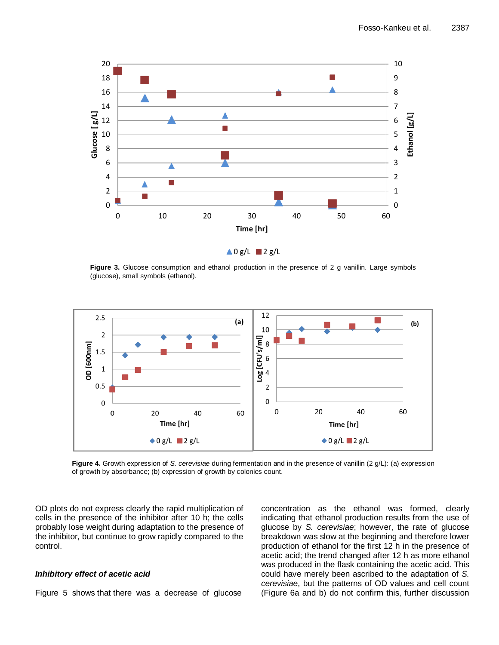

**Figure 3.** Glucose consumption and ethanol production in the presence of 2 g vanillin. Large symbols (glucose), small symbols (ethanol).



**Figure 4.** Growth expression of *S. cerevisiae* during fermentation and in the presence of vanillin (2 g/L): (a) expression of growth by absorbance; (b) expression of growth by colonies count.

OD plots do not express clearly the rapid multiplication of cells in the presence of the inhibitor after 10 h; the cells probably lose weight during adaptation to the presence of the inhibitor, but continue to grow rapidly compared to the control.

#### *Inhibitory effect of acetic acid*

Figure 5 shows that there was a decrease of glucose

concentration as the ethanol was formed, clearly indicating that ethanol production results from the use of glucose by *S. cerevisiae*; however, the rate of glucose breakdown was slow at the beginning and therefore lower production of ethanol for the first 12 h in the presence of acetic acid; the trend changed after 12 h as more ethanol was produced in the flask containing the acetic acid. This could have merely been ascribed to the adaptation of *S. cerevisiae*, but the patterns of OD values and cell count (Figure 6a and b) do not confirm this, further discussion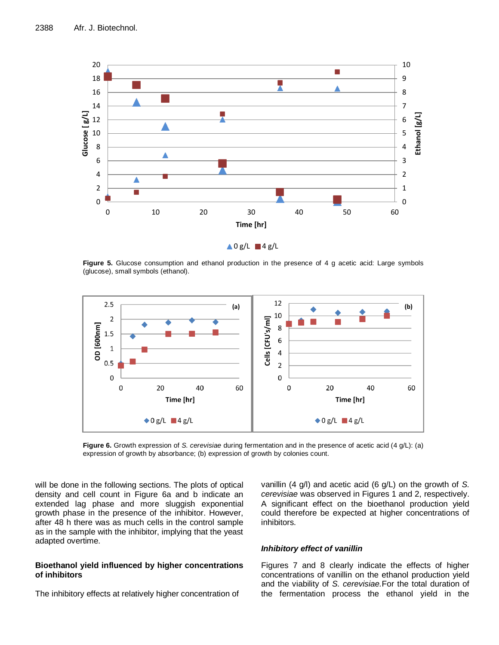

**Figure 5.** Glucose consumption and ethanol production in the presence of 4 g acetic acid: Large symbols (glucose), small symbols (ethanol).



**Figure 6.** Growth expression of *S. cerevisiae* during fermentation and in the presence of acetic acid (4 g/L): (a) expression of growth by absorbance; (b) expression of growth by colonies count.

will be done in the following sections. The plots of optical density and cell count in Figure 6a and b indicate an extended lag phase and more sluggish exponential growth phase in the presence of the inhibitor. However, after 48 h there was as much cells in the control sample as in the sample with the inhibitor, implying that the yeast adapted overtime.

#### **Bioethanol yield influenced by higher concentrations of inhibitors**

The inhibitory effects at relatively higher concentration of

vanillin (4 g/l) and acetic acid (6 g/L) on the growth of *S. cerevisiae* was observed in Figures 1 and 2, respectively. A significant effect on the bioethanol production yield could therefore be expected at higher concentrations of inhibitors.

#### *Inhibitory effect of vanillin*

Figures 7 and 8 clearly indicate the effects of higher concentrations of vanillin on the ethanol production yield and the viability of *S. cerevisiae.*For the total duration of the fermentation process the ethanol yield in the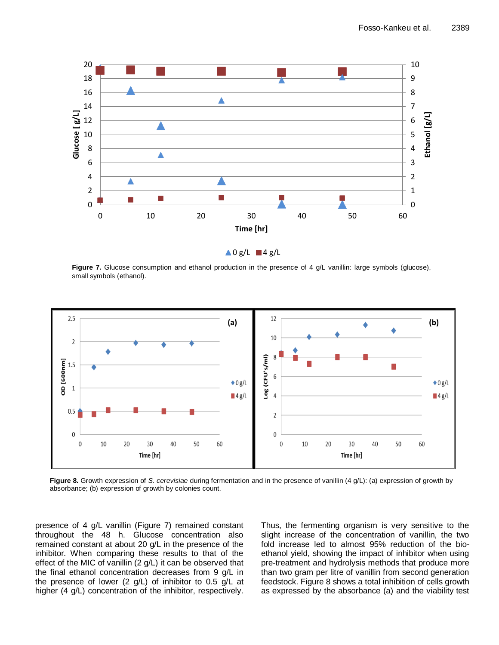

Figure 7. Glucose consumption and ethanol production in the presence of 4 g/L vanillin: large symbols (glucose), small symbols (ethanol).



**Figure 8.** Growth expression of *S. cerevisiae* during fermentation and in the presence of vanillin (4 g/L): (a) expression of growth by absorbance; (b) expression of growth by colonies count.

presence of 4 g/L vanillin (Figure 7) remained constant throughout the 48 h. Glucose concentration also remained constant at about 20 g/L in the presence of the inhibitor. When comparing these results to that of the effect of the MIC of vanillin (2 g/L) it can be observed that the final ethanol concentration decreases from 9 g/L in the presence of lower (2 g/L) of inhibitor to 0.5 g/L at higher (4 g/L) concentration of the inhibitor, respectively.

Thus, the fermenting organism is very sensitive to the slight increase of the concentration of vanillin, the two fold increase led to almost 95% reduction of the bioethanol yield, showing the impact of inhibitor when using pre-treatment and hydrolysis methods that produce more than two gram per litre of vanillin from second generation feedstock. Figure 8 shows a total inhibition of cells growth as expressed by the absorbance (a) and the viability test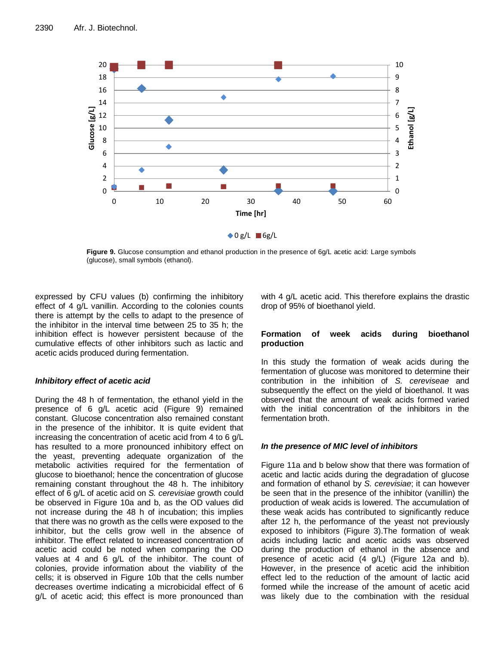

**Figure 9.** Glucose consumption and ethanol production in the presence of 6g/L acetic acid: Large symbols (glucose), small symbols (ethanol).

expressed by CFU values (b) confirming the inhibitory effect of 4 g/L vanillin. According to the colonies counts there is attempt by the cells to adapt to the presence of the inhibitor in the interval time between 25 to 35 h; the inhibition effect is however persistent because of the cumulative effects of other inhibitors such as lactic and acetic acids produced during fermentation.

## *Inhibitory effect of acetic acid*

During the 48 h of fermentation, the ethanol yield in the presence of 6 g/L acetic acid (Figure 9) remained constant. Glucose concentration also remained constant in the presence of the inhibitor. It is quite evident that increasing the concentration of acetic acid from 4 to 6 g/L has resulted to a more pronounced inhibitory effect on the yeast, preventing adequate organization of the metabolic activities required for the fermentation of glucose to bioethanol; hence the concentration of glucose remaining constant throughout the 48 h. The inhibitory effect of 6 g/L of acetic acid on *S. cerevisiae* growth could be observed in Figure 10a and b, as the OD values did not increase during the 48 h of incubation; this implies that there was no growth as the cells were exposed to the inhibitor, but the cells grow well in the absence of inhibitor. The effect related to increased concentration of acetic acid could be noted when comparing the OD values at 4 and 6 g/L of the inhibitor. The count of colonies, provide information about the viability of the cells; it is observed in Figure 10b that the cells number decreases overtime indicating a microbicidal effect of 6 g/L of acetic acid; this effect is more pronounced than

with 4 g/L acetic acid. This therefore explains the drastic drop of 95% of bioethanol yield.

#### **Formation of week acids during bioethanol production**

In this study the formation of weak acids during the fermentation of glucose was monitored to determine their contribution in the inhibition of *S. cereviseae* and subsequently the effect on the yield of bioethanol. It was observed that the amount of weak acids formed varied with the initial concentration of the inhibitors in the fermentation broth.

## *In the presence of MIC level of inhibitors*

Figure 11a and b below show that there was formation of acetic and lactic acids during the degradation of glucose and formation of ethanol by *S. cerevisiae*; it can however be seen that in the presence of the inhibitor (vanillin) the production of weak acids is lowered. The accumulation of these weak acids has contributed to significantly reduce after 12 h, the performance of the yeast not previously exposed to inhibitors (Figure 3).The formation of weak acids including lactic and acetic acids was observed during the production of ethanol in the absence and presence of acetic acid (4 g/L) (Figure 12a and b). However, in the presence of acetic acid the inhibition effect led to the reduction of the amount of lactic acid formed while the increase of the amount of acetic acid was likely due to the combination with the residual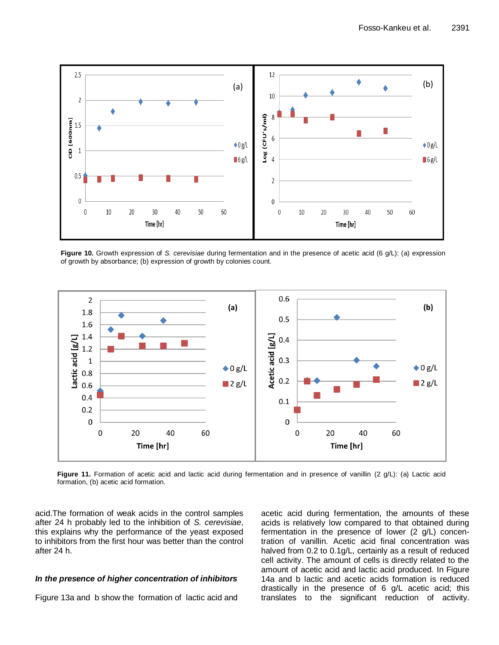

**Figure 10.** Growth expression of *S. cerevisiae* during fermentation and in the presence of acetic acid (6 g/L): (a) expression of growth by absorbance; (b) expression of growth by colonies count.



**Figure 11.** Formation of acetic acid and lactic acid during fermentation and in presence of vanillin (2 g/L): (a) Lactic acid formation, (b) acetic acid formation.

acid.The formation of weak acids in the control samples after 24 h probably led to the inhibition of *S. cerevisiae*, this explains why the performance of the yeast exposed to inhibitors from the first hour was better than the control after 24 h.

#### *In the presence of higher concentration of inhibitors*

Figure 13a and b show the formation of lactic acid and

acetic acid during fermentation, the amounts of these acids is relatively low compared to that obtained during fermentation in the presence of lower (2 g/L) concentration of vanillin. Acetic acid final concentration was halved from 0.2 to 0.1g/L, certainly as a result of reduced cell activity. The amount of cells is directly related to the amount of acetic acid and lactic acid produced. In Figure 14a and b lactic and acetic acids formation is reduced drastically in the presence of 6 g/L acetic acid; this translates to the significant reduction of activity.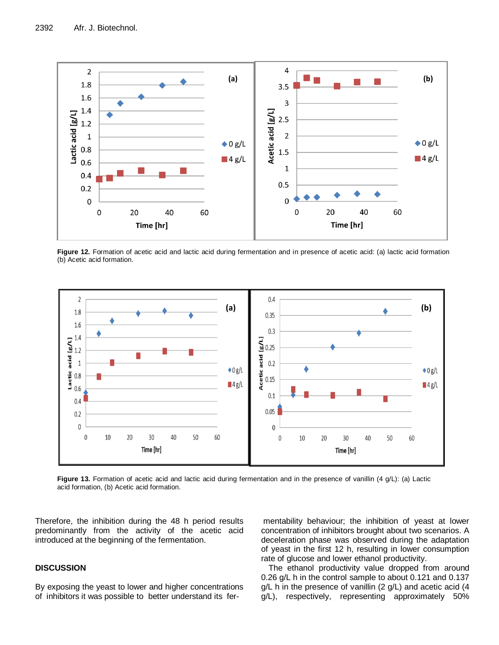

**Figure 12.** Formation of acetic acid and lactic acid during fermentation and in presence of acetic acid: (a) lactic acid formation (b) Acetic acid formation.



Figure 13. Formation of acetic acid and lactic acid during fermentation and in the presence of vanillin (4 g/L): (a) Lactic acid formation, (b) Acetic acid formation.

Therefore, the inhibition during the 48 h period results predominantly from the activity of the acetic acid introduced at the beginning of the fermentation.

#### **DISCUSSION**

By exposing the yeast to lower and higher concentrations of inhibitors it was possible to better understand its fer-

mentability behaviour; the inhibition of yeast at lower concentration of inhibitors brought about two scenarios. A deceleration phase was observed during the adaptation of yeast in the first 12 h, resulting in lower consumption rate of glucose and lower ethanol productivity.

The ethanol productivity value dropped from around 0.26 g/L h in the control sample to about 0.121 and 0.137 g/L h in the presence of vanillin (2 g/L) and acetic acid (4 g/L), respectively, representing approximately 50%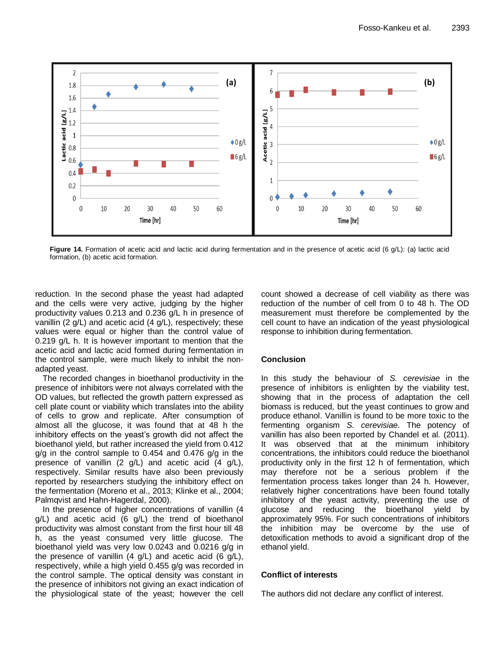

**Figure 14.** Formation of acetic acid and lactic acid during fermentation and in the presence of acetic acid (6 g/L): (a) lactic acid formation, (b) acetic acid formation.

reduction. In the second phase the yeast had adapted and the cells were very active, judging by the higher productivity values 0.213 and 0.236 g/L h in presence of vanillin (2 g/L) and acetic acid (4 g/L), respectively; these values were equal or higher than the control value of 0.219 g/L h. It is however important to mention that the acetic acid and lactic acid formed during fermentation in the control sample, were much likely to inhibit the nonadapted yeast.

The recorded changes in bioethanol productivity in the presence of inhibitors were not always correlated with the OD values, but reflected the growth pattern expressed as cell plate count or viability which translates into the ability of cells to grow and replicate. After consumption of almost all the glucose, it was found that at 48 h the inhibitory effects on the yeast's growth did not affect the bioethanol yield, but rather increased the yield from 0.412 g/g in the control sample to 0.454 and 0.476 g/g in the presence of vanillin (2 g/L) and acetic acid (4 g/L), respectively. Similar results have also been previously reported by researchers studying the inhibitory effect on the fermentation (Moreno et al., 2013; Klinke et al., 2004; Palmqvist and Hahn-Hagerdal, 2000).

In the presence of higher concentrations of vanillin (4 g/L) and acetic acid (6 g/L) the trend of bioethanol productivity was almost constant from the first hour till 48 h, as the yeast consumed very little glucose. The bioethanol yield was very low 0.0243 and 0.0216 g/g in the presence of vanillin  $(4 \text{ g/L})$  and acetic acid  $(6 \text{ g/L})$ , respectively, while a high yield 0.455 g/g was recorded in the control sample. The optical density was constant in the presence of inhibitors not giving an exact indication of the physiological state of the yeast; however the cell count showed a decrease of cell viability as there was reduction of the number of cell from 0 to 48 h. The OD measurement must therefore be complemented by the cell count to have an indication of the yeast physiological response to inhibition during fermentation.

#### **Conclusion**

In this study the behaviour of *S. cerevisiae* in the presence of inhibitors is enlighten by the viability test, showing that in the process of adaptation the cell biomass is reduced, but the yeast continues to grow and produce ethanol. Vanillin is found to be more toxic to the fermenting organism *S. cerevisiae*. The potency of vanillin has also been reported by Chandel et al*.* (2011). It was observed that at the minimum inhibitory concentrations, the inhibitors could reduce the bioethanol productivity only in the first 12 h of fermentation, which may therefore not be a serious problem if the fermentation process takes longer than 24 h. However, relatively higher concentrations have been found totally inhibitory of the yeast activity, preventing the use of glucose and reducing the bioethanol yield by approximately 95%. For such concentrations of inhibitors the inhibition may be overcome by the use of detoxification methods to avoid a significant drop of the ethanol yield.

## **Conflict of interests**